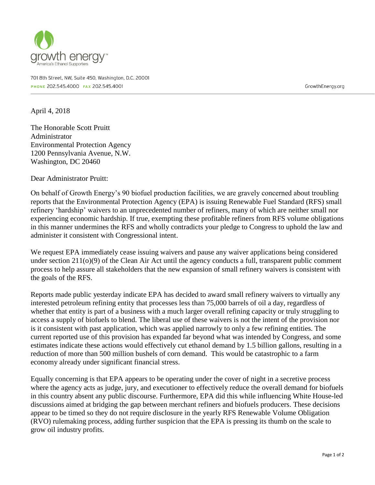

701 8th Street, NW, Suite 450, Washington, D.C. 20001 PHONE 202.545.4000 FAX 202.545.4001

GrowthEnergy.org

April 4, 2018

The Honorable Scott Pruitt Administrator Environmental Protection Agency 1200 Pennsylvania Avenue, N.W. Washington, DC 20460

Dear Administrator Pruitt:

On behalf of Growth Energy's 90 biofuel production facilities, we are gravely concerned about troubling reports that the Environmental Protection Agency (EPA) is issuing Renewable Fuel Standard (RFS) small refinery 'hardship' waivers to an unprecedented number of refiners, many of which are neither small nor experiencing economic hardship. If true, exempting these profitable refiners from RFS volume obligations in this manner undermines the RFS and wholly contradicts your pledge to Congress to uphold the law and administer it consistent with Congressional intent.

We request EPA immediately cease issuing waivers and pause any waiver applications being considered under section 211(o)(9) of the Clean Air Act until the agency conducts a full, transparent public comment process to help assure all stakeholders that the new expansion of small refinery waivers is consistent with the goals of the RFS.

Reports made public yesterday indicate EPA has decided to award small refinery waivers to virtually any interested petroleum refining entity that processes less than 75,000 barrels of oil a day, regardless of whether that entity is part of a business with a much larger overall refining capacity or truly struggling to access a supply of biofuels to blend. The liberal use of these waivers is not the intent of the provision nor is it consistent with past application, which was applied narrowly to only a few refining entities. The current reported use of this provision has expanded far beyond what was intended by Congress, and some estimates indicate these actions would effectively cut ethanol demand by 1.5 billion gallons, resulting in a reduction of more than 500 million bushels of corn demand. This would be catastrophic to a farm economy already under significant financial stress.

Equally concerning is that EPA appears to be operating under the cover of night in a secretive process where the agency acts as judge, jury, and executioner to effectively reduce the overall demand for biofuels in this country absent any public discourse. Furthermore, EPA did this while influencing White House-led discussions aimed at bridging the gap between merchant refiners and biofuels producers. These decisions appear to be timed so they do not require disclosure in the yearly RFS Renewable Volume Obligation (RVO) rulemaking process, adding further suspicion that the EPA is pressing its thumb on the scale to grow oil industry profits.